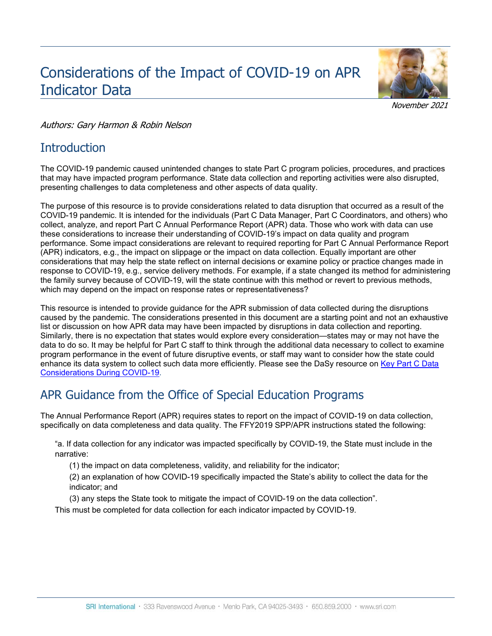# Considerations of the Impact of COVID-19 on APR Indicator Data



November 2021

#### Authors: Gary Harmon & Robin Nelson

### **Introduction**

The COVID-19 pandemic caused unintended changes to state Part C program policies, procedures, and practices that may have impacted program performance. State data collection and reporting activities were also disrupted, presenting challenges to data completeness and other aspects of data quality.

The purpose of this resource is to provide considerations related to data disruption that occurred as a result of the COVID-19 pandemic. It is intended for the individuals (Part C Data Manager, Part C Coordinators, and others) who collect, analyze, and report Part C Annual Performance Report (APR) data. Those who work with data can use these considerations to increase their understanding of COVID-19's impact on data quality and program performance. Some impact considerations are relevant to required reporting for Part C Annual Performance Report (APR) indicators, e.g., the impact on slippage or the impact on data collection. Equally important are other considerations that may help the state reflect on internal decisions or examine policy or practice changes made in response to COVID-19, e.g., service delivery methods. For example, if a state changed its method for administering the family survey because of COVID-19, will the state continue with this method or revert to previous methods, which may depend on the impact on response rates or representativeness?

This resource is intended to provide guidance for the APR submission of data collected during the disruptions caused by the pandemic. The considerations presented in this document are a starting point and not an exhaustive list or discussion on how APR data may have been impacted by disruptions in data collection and reporting. Similarly, there is no expectation that states would explore every consideration—states may or may not have the data to do so. It may be helpful for Part C staff to think through the additional data necessary to collect to examine program performance in the event of future disruptive events, or staff may want to consider how the state could enhance its data system to collect such data more efficiently. Please see the DaSy resource on [Key Part C Data](https://dasycenter.org/wp-content/uploads/2020/07/Key-Part-C-Data_Considerations-During-COVID-19.pdf)  [Considerations During COVID-19.](https://dasycenter.org/wp-content/uploads/2020/07/Key-Part-C-Data_Considerations-During-COVID-19.pdf)

## APR Guidance from the Office of Special Education Programs

The Annual Performance Report (APR) requires states to report on the impact of COVID-19 on data collection, specifically on data completeness and data quality. The FFY2019 SPP/APR instructions stated the following:

"a. If data collection for any indicator was impacted specifically by COVID-19, the State must include in the narrative:

(1) the impact on data completeness, validity, and reliability for the indicator;

(2) an explanation of how COVID-19 specifically impacted the State's ability to collect the data for the indicator; and

(3) any steps the State took to mitigate the impact of COVID-19 on the data collection".

This must be completed for data collection for each indicator impacted by COVID-19.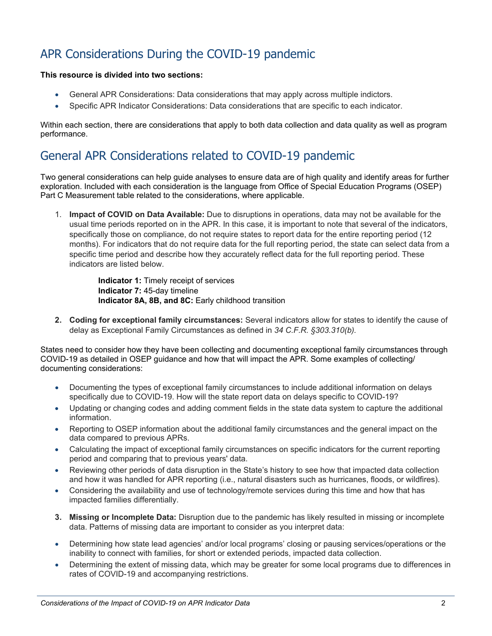## APR Considerations During the COVID-19 pandemic

#### **This resource is divided into two sections:**

- General APR Considerations: Data considerations that may apply across multiple indictors.
- Specific APR Indicator Considerations: Data considerations that are specific to each indicator.

Within each section, there are considerations that apply to both data collection and data quality as well as program performance.

### General APR Considerations related to COVID-19 pandemic

Two general considerations can help guide analyses to ensure data are of high quality and identify areas for further exploration. Included with each consideration is the language from Office of Special Education Programs (OSEP) Part C Measurement table related to the considerations, where applicable.

1. **Impact of COVID on Data Available:** Due to disruptions in operations, data may not be available for the usual time periods reported on in the APR. In this case, it is important to note that several of the indicators, specifically those on compliance, do not require states to report data for the entire reporting period (12 months). For indicators that do not require data for the full reporting period, the state can select data from a specific time period and describe how they accurately reflect data for the full reporting period. These indicators are listed below.

> **Indicator 1:** Timely receipt of services **Indicator 7:** 45-day timeline **Indicator 8A, 8B, and 8C:** Early childhood transition

**2. Coding for exceptional family circumstances:** Several indicators allow for states to identify the cause of delay as Exceptional Family Circumstances as defined in *34 C.F.R. §303.310(b).*

States need to consider how they have been collecting and documenting exceptional family circumstances through COVID-19 as detailed in OSEP guidance and how that will impact the APR. Some examples of collecting/ documenting considerations:

- Documenting the types of exceptional family circumstances to include additional information on delays specifically due to COVID-19. How will the state report data on delays specific to COVID-19?
- Updating or changing codes and adding comment fields in the state data system to capture the additional information.
- Reporting to OSEP information about the additional family circumstances and the general impact on the data compared to previous APRs.
- Calculating the impact of exceptional family circumstances on specific indicators for the current reporting period and comparing that to previous years' data.
- Reviewing other periods of data disruption in the State's history to see how that impacted data collection and how it was handled for APR reporting (i.e., natural disasters such as hurricanes, floods, or wildfires).
- Considering the availability and use of technology/remote services during this time and how that has impacted families differentially.
- **3. Missing or Incomplete Data:** Disruption due to the pandemic has likely resulted in missing or incomplete data. Patterns of missing data are important to consider as you interpret data:
- Determining how state lead agencies' and/or local programs' closing or pausing services/operations or the inability to connect with families, for short or extended periods, impacted data collection.
- Determining the extent of missing data, which may be greater for some local programs due to differences in rates of COVID-19 and accompanying restrictions.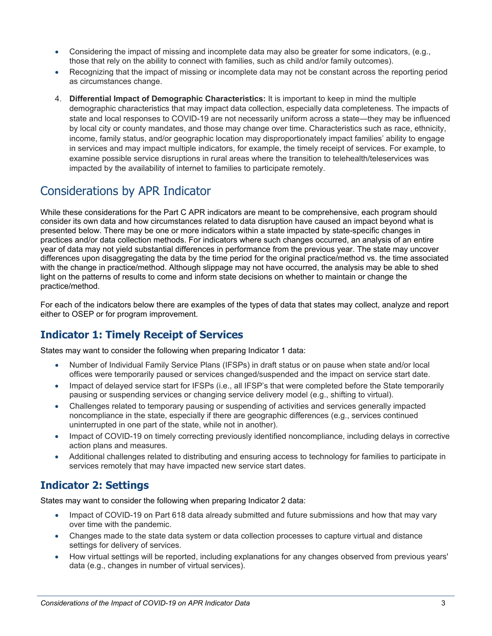- Considering the impact of missing and incomplete data may also be greater for some indicators, (e.g., those that rely on the ability to connect with families, such as child and/or family outcomes).
- Recognizing that the impact of missing or incomplete data may not be constant across the reporting period as circumstances change.
- 4. **Differential Impact of Demographic Characteristics:** It is important to keep in mind the multiple demographic characteristics that may impact data collection, especially data completeness. The impacts of state and local responses to COVID-19 are not necessarily uniform across a state—they may be influenced by local city or county mandates, and those may change over time. Characteristics such as race, ethnicity, income, family status, and/or geographic location may disproportionately impact families' ability to engage in services and may impact multiple indicators, for example, the timely receipt of services. For example, to examine possible service disruptions in rural areas where the transition to telehealth/teleservices was impacted by the availability of internet to families to participate remotely.

## Considerations by APR Indicator

While these considerations for the Part C APR indicators are meant to be comprehensive, each program should consider its own data and how circumstances related to data disruption have caused an impact beyond what is presented below. There may be one or more indicators within a state impacted by state-specific changes in practices and/or data collection methods. For indicators where such changes occurred, an analysis of an entire year of data may not yield substantial differences in performance from the previous year. The state may uncover differences upon disaggregating the data by the time period for the original practice/method vs. the time associated with the change in practice/method. Although slippage may not have occurred, the analysis may be able to shed light on the patterns of results to come and inform state decisions on whether to maintain or change the practice/method.

For each of the indicators below there are examples of the types of data that states may collect, analyze and report either to OSEP or for program improvement.

### **Indicator 1: Timely Receipt of Services**

States may want to consider the following when preparing Indicator 1 data:

- Number of Individual Family Service Plans (IFSPs) in draft status or on pause when state and/or local offices were temporarily paused or services changed/suspended and the impact on service start date.
- Impact of delayed service start for IFSPs (i.e., all IFSP's that were completed before the State temporarily pausing or suspending services or changing service delivery model (e.g., shifting to virtual).
- Challenges related to temporary pausing or suspending of activities and services generally impacted noncompliance in the state, especially if there are geographic differences (e.g., services continued uninterrupted in one part of the state, while not in another).
- Impact of COVID-19 on timely correcting previously identified noncompliance, including delays in corrective action plans and measures.
- Additional challenges related to distributing and ensuring access to technology for families to participate in services remotely that may have impacted new service start dates.

### **Indicator 2: Settings**

States may want to consider the following when preparing Indicator 2 data:

- Impact of COVID-19 on Part 618 data already submitted and future submissions and how that may vary over time with the pandemic.
- Changes made to the state data system or data collection processes to capture virtual and distance settings for delivery of services.
- How virtual settings will be reported, including explanations for any changes observed from previous years' data (e.g., changes in number of virtual services).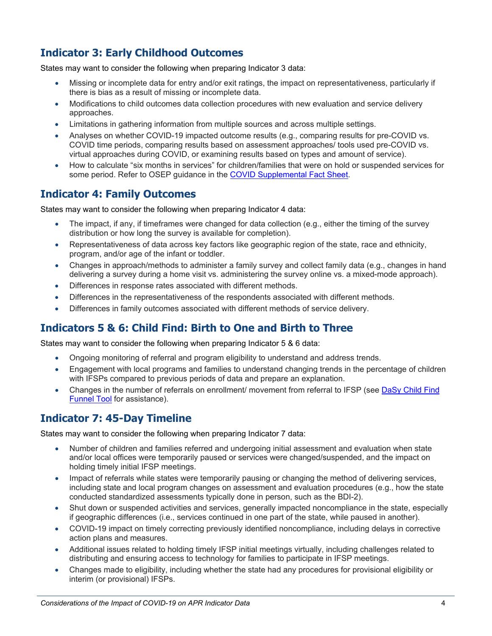### **Indicator 3: Early Childhood Outcomes**

States may want to consider the following when preparing Indicator 3 data:

- Missing or incomplete data for entry and/or exit ratings, the impact on representativeness, particularly if there is bias as a result of missing or incomplete data.
- Modifications to child outcomes data collection procedures with new evaluation and service delivery approaches.
- Limitations in gathering information from multiple sources and across multiple settings.
- Analyses on whether COVID-19 impacted outcome results (e.g., comparing results for pre-COVID vs. COVID time periods, comparing results based on assessment approaches/ tools used pre-COVID vs. virtual approaches during COVID, or examining results based on types and amount of service).
- How to calculate "six months in services" for children/families that were on hold or suspended services for some period. Refer to OSEP guidance in the [COVID Supplemental Fact Sheet.](https://www2.ed.gov/about/offices/list/ocr/frontpage/faq/rr/policyguidance/Supple%20Fact%20Sheet%203.21.20%20FINAL.pdf)

#### **Indicator 4: Family Outcomes**

States may want to consider the following when preparing Indicator 4 data:

- The impact, if any, if timeframes were changed for data collection (e.g., either the timing of the survey distribution or how long the survey is available for completion).
- Representativeness of data across key factors like geographic region of the state, race and ethnicity, program, and/or age of the infant or toddler.
- Changes in approach/methods to administer a family survey and collect family data (e.g., changes in hand delivering a survey during a home visit vs. administering the survey online vs. a mixed-mode approach).
- Differences in response rates associated with different methods.
- Differences in the representativeness of the respondents associated with different methods.
- Differences in family outcomes associated with different methods of service delivery.

### **Indicators 5 & 6: Child Find: Birth to One and Birth to Three**

States may want to consider the following when preparing Indicator 5 & 6 data:

- Ongoing monitoring of referral and program eligibility to understand and address trends.
- Engagement with local programs and families to understand changing trends in the percentage of children with IFSPs compared to previous periods of data and prepare an explanation.
- Changes in the number of referrals on enrollment/ movement from referral to IFSP (see [DaSy Child Find](https://dasycenter.org/part-c-child-find-funnel-chart-tool/#:%7E:text=The%20Child%20Find%20Funnel%20Chart,within%20a%20specified%20time%20span.)  [Funnel Tool](https://dasycenter.org/part-c-child-find-funnel-chart-tool/#:%7E:text=The%20Child%20Find%20Funnel%20Chart,within%20a%20specified%20time%20span.) for assistance).

### **Indicator 7: 45-Day Timeline**

States may want to consider the following when preparing Indicator 7 data:

- Number of children and families referred and undergoing initial assessment and evaluation when state and/or local offices were temporarily paused or services were changed/suspended, and the impact on holding timely initial IFSP meetings.
- Impact of referrals while states were temporarily pausing or changing the method of delivering services, including state and local program changes on assessment and evaluation procedures (e.g., how the state conducted standardized assessments typically done in person, such as the BDI-2).
- Shut down or suspended activities and services, generally impacted noncompliance in the state, especially if geographic differences (i.e., services continued in one part of the state, while paused in another).
- COVID-19 impact on timely correcting previously identified noncompliance, including delays in corrective action plans and measures.
- Additional issues related to holding timely IFSP initial meetings virtually, including challenges related to distributing and ensuring access to technology for families to participate in IFSP meetings.
- Changes made to eligibility, including whether the state had any procedures for provisional eligibility or interim (or provisional) IFSPs.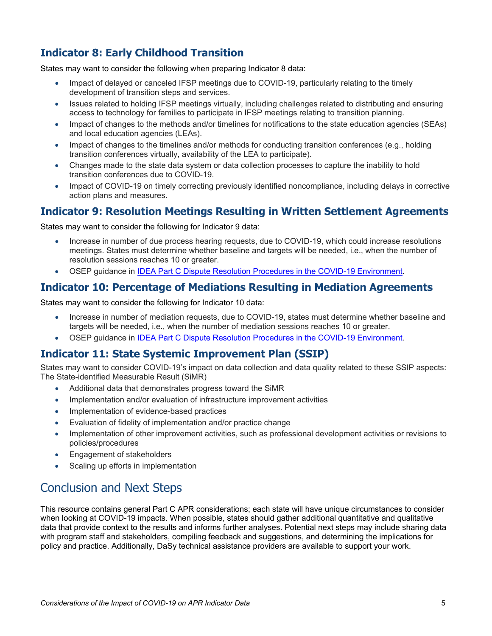### **Indicator 8: Early Childhood Transition**

States may want to consider the following when preparing Indicator 8 data:

- Impact of delayed or canceled IFSP meetings due to COVID-19, particularly relating to the timely development of transition steps and services.
- Issues related to holding IFSP meetings virtually, including challenges related to distributing and ensuring access to technology for families to participate in IFSP meetings relating to transition planning.
- Impact of changes to the methods and/or timelines for notifications to the state education agencies (SEAs) and local education agencies (LEAs).
- Impact of changes to the timelines and/or methods for conducting transition conferences (e.g., holding transition conferences virtually, availability of the LEA to participate).
- Changes made to the state data system or data collection processes to capture the inability to hold transition conferences due to COVID-19.
- Impact of COVID-19 on timely correcting previously identified noncompliance, including delays in corrective action plans and measures.

### **Indicator 9: Resolution Meetings Resulting in Written Settlement Agreements**

States may want to consider the following for Indicator 9 data:

- Increase in number of due process hearing requests, due to COVID-19, which could increase resolutions meetings. States must determine whether baseline and targets will be needed, i.e., when the number of resolution sessions reaches 10 or greater.
- OSEP guidance in [IDEA Part C Dispute Resolution Procedures in the COVID-19 Environment.](https://www2.ed.gov/policy/speced/guid/idea/memosdcltrs/qa-dispute-resolution-procedures-part-c.pdf)

#### **Indicator 10: Percentage of Mediations Resulting in Mediation Agreements**

States may want to consider the following for Indicator 10 data:

- Increase in number of mediation requests, due to COVID-19, states must determine whether baseline and targets will be needed, i.e., when the number of mediation sessions reaches 10 or greater.
- OSEP guidance in [IDEA Part C Dispute Resolution Procedures in the COVID-19 Environment.](https://www2.ed.gov/policy/speced/guid/idea/memosdcltrs/qa-dispute-resolution-procedures-part-c.pdf)

#### **Indicator 11: State Systemic Improvement Plan (SSIP)**

States may want to consider COVID-19's impact on data collection and data quality related to these SSIP aspects: The State-identified Measurable Result (SiMR)

- Additional data that demonstrates progress toward the SiMR
- Implementation and/or evaluation of infrastructure improvement activities
- Implementation of evidence-based practices
- Evaluation of fidelity of implementation and/or practice change
- Implementation of other improvement activities, such as professional development activities or revisions to policies/procedures
- Engagement of stakeholders
- Scaling up efforts in implementation

## Conclusion and Next Steps

This resource contains general Part C APR considerations; each state will have unique circumstances to consider when looking at COVID-19 impacts. When possible, states should gather additional quantitative and qualitative data that provide context to the results and informs further analyses. Potential next steps may include sharing data with program staff and stakeholders, compiling feedback and suggestions, and determining the implications for policy and practice. Additionally, DaSy technical assistance providers are available to support your work.